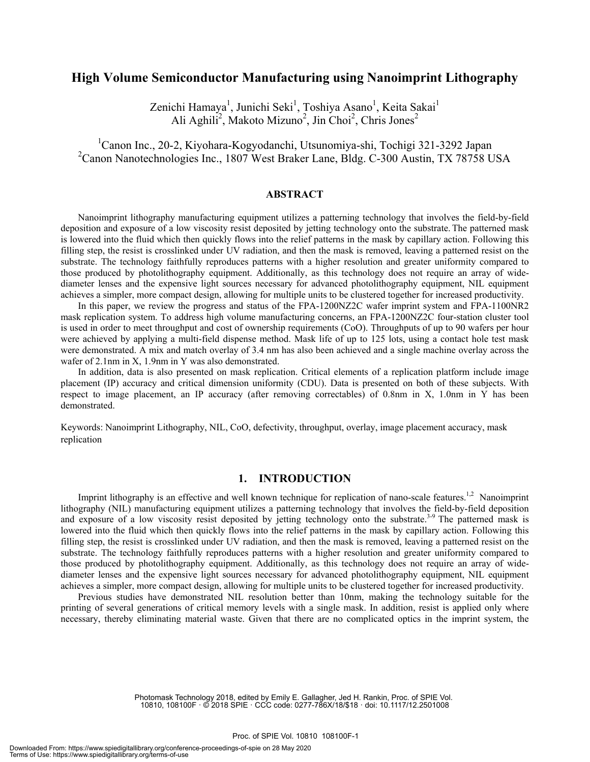# **High Volume Semiconductor Manufacturing using Nanoimprint Lithography**

Zenichi Hamaya<sup>1</sup>, Junichi Seki<sup>1</sup>, Toshiya Asano<sup>1</sup>, Keita Sakai<sup>1</sup> Ali Aghili<sup>2</sup>, Makoto Mizuno<sup>2</sup>, Jin Choi<sup>2</sup>, Chris Jones<sup>2</sup>

1 Canon Inc., 20-2, Kiyohara-Kogyodanchi, Utsunomiya-shi, Tochigi 321-3292 Japan <sup>2</sup>Canon Nanotechnologies Inc., 1807 West Braker Lane, Bldg. C-300 Austin, TX 78758 USA

#### **ABSTRACT**

Nanoimprint lithography manufacturing equipment utilizes a patterning technology that involves the field-by-field deposition and exposure of a low viscosity resist deposited by jetting technology onto the substrate. The patterned mask is lowered into the fluid which then quickly flows into the relief patterns in the mask by capillary action. Following this filling step, the resist is crosslinked under UV radiation, and then the mask is removed, leaving a patterned resist on the substrate. The technology faithfully reproduces patterns with a higher resolution and greater uniformity compared to those produced by photolithography equipment. Additionally, as this technology does not require an array of widediameter lenses and the expensive light sources necessary for advanced photolithography equipment, NIL equipment achieves a simpler, more compact design, allowing for multiple units to be clustered together for increased productivity.

In this paper, we review the progress and status of the FPA-1200NZ2C wafer imprint system and FPA-1100NR2 mask replication system. To address high volume manufacturing concerns, an FPA-1200NZ2C four-station cluster tool is used in order to meet throughput and cost of ownership requirements (CoO). Throughputs of up to 90 wafers per hour were achieved by applying a multi-field dispense method. Mask life of up to 125 lots, using a contact hole test mask were demonstrated. A mix and match overlay of 3.4 nm has also been achieved and a single machine overlay across the wafer of 2.1nm in X, 1.9nm in Y was also demonstrated.

In addition, data is also presented on mask replication. Critical elements of a replication platform include image placement (IP) accuracy and critical dimension uniformity (CDU). Data is presented on both of these subjects. With respect to image placement, an IP accuracy (after removing correctables) of 0.8nm in X, 1.0nm in Y has been demonstrated.

Keywords: Nanoimprint Lithography, NIL, CoO, defectivity, throughput, overlay, image placement accuracy, mask replication

### **1. INTRODUCTION**

Imprint lithography is an effective and well known technique for replication of nano-scale features.<sup>1,2</sup> Nanoimprint lithography (NIL) manufacturing equipment utilizes a patterning technology that involves the field-by-field deposition and exposure of a low viscosity resist deposited by jetting technology onto the substrate.<sup>3-9</sup> The patterned mask is lowered into the fluid which then quickly flows into the relief patterns in the mask by capillary action. Following this filling step, the resist is crosslinked under UV radiation, and then the mask is removed, leaving a patterned resist on the substrate. The technology faithfully reproduces patterns with a higher resolution and greater uniformity compared to those produced by photolithography equipment. Additionally, as this technology does not require an array of widediameter lenses and the expensive light sources necessary for advanced photolithography equipment, NIL equipment achieves a simpler, more compact design, allowing for multiple units to be clustered together for increased productivity.

Previous studies have demonstrated NIL resolution better than 10nm, making the technology suitable for the printing of several generations of critical memory levels with a single mask. In addition, resist is applied only where necessary, thereby eliminating material waste. Given that there are no complicated optics in the imprint system, the

> Photomask Technology 2018, edited by Emily E. Gallagher, Jed H. Rankin, Proc. of SPIE Vol. 10810, 108100F · © 2018 SPIE · CCC code: 0277-786X/18/\$18 · doi: 10.1117/12.2501008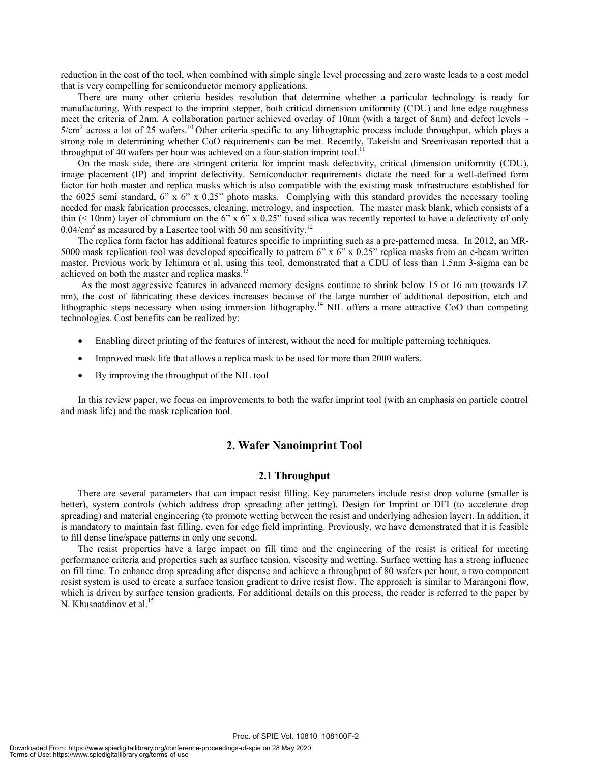reduction in the cost of the tool, when combined with simple single level processing and zero waste leads to a cost model that is very compelling for semiconductor memory applications.

There are many other criteria besides resolution that determine whether a particular technology is ready for manufacturing. With respect to the imprint stepper, both critical dimension uniformity (CDU) and line edge roughness meet the criteria of 2nm. A collaboration partner achieved overlay of 10nm (with a target of 8nm) and defect levels  $\sim$  $5/cm<sup>2</sup>$  across a lot of 25 wafers.<sup>10</sup> Other criteria specific to any lithographic process include throughput, which plays a strong role in determining whether CoO requirements can be met. Recently, Takeishi and Sreenivasan reported that a throughput of 40 wafers per hour was achieved on a four-station imprint tool.<sup>11</sup>

On the mask side, there are stringent criteria for imprint mask defectivity, critical dimension uniformity (CDU), image placement (IP) and imprint defectivity. Semiconductor requirements dictate the need for a well-defined form factor for both master and replica masks which is also compatible with the existing mask infrastructure established for the 6025 semi standard, 6" x 6" x 0.25" photo masks. Complying with this standard provides the necessary tooling needed for mask fabrication processes, cleaning, metrology, and inspection. The master mask blank, which consists of a thin (< 10nm) layer of chromium on the 6" x 6" x 0.25" fused silica was recently reported to have a defectivity of only  $0.04/cm<sup>2</sup>$  as measured by a Lasertec tool with 50 nm sensitivity.<sup>12</sup>

The replica form factor has additional features specific to imprinting such as a pre-patterned mesa. In 2012, an MR-5000 mask replication tool was developed specifically to pattern 6" x 6" x 0.25" replica masks from an e-beam written master. Previous work by Ichimura et al. using this tool, demonstrated that a CDU of less than 1.5nm 3-sigma can be achieved on both the master and replica masks.

As the most aggressive features in advanced memory designs continue to shrink below 15 or 16 nm (towards 1Z nm), the cost of fabricating these devices increases because of the large number of additional deposition, etch and lithographic steps necessary when using immersion lithography.<sup>14</sup> NIL offers a more attractive CoO than competing technologies. Cost benefits can be realized by:

- Enabling direct printing of the features of interest, without the need for multiple patterning techniques.
- Improved mask life that allows a replica mask to be used for more than 2000 wafers.
- By improving the throughput of the NIL tool

In this review paper, we focus on improvements to both the wafer imprint tool (with an emphasis on particle control and mask life) and the mask replication tool.

#### **2. Wafer Nanoimprint Tool**

#### **2.1 Throughput**

There are several parameters that can impact resist filling. Key parameters include resist drop volume (smaller is better), system controls (which address drop spreading after jetting), Design for Imprint or DFI (to accelerate drop spreading) and material engineering (to promote wetting between the resist and underlying adhesion layer). In addition, it is mandatory to maintain fast filling, even for edge field imprinting. Previously, we have demonstrated that it is feasible to fill dense line/space patterns in only one second.

 The resist properties have a large impact on fill time and the engineering of the resist is critical for meeting performance criteria and properties such as surface tension, viscosity and wetting. Surface wetting has a strong influence on fill time. To enhance drop spreading after dispense and achieve a throughput of 80 wafers per hour, a two component resist system is used to create a surface tension gradient to drive resist flow. The approach is similar to Marangoni flow, which is driven by surface tension gradients. For additional details on this process, the reader is referred to the paper by N. Khusnatdinov et al.<sup>15</sup>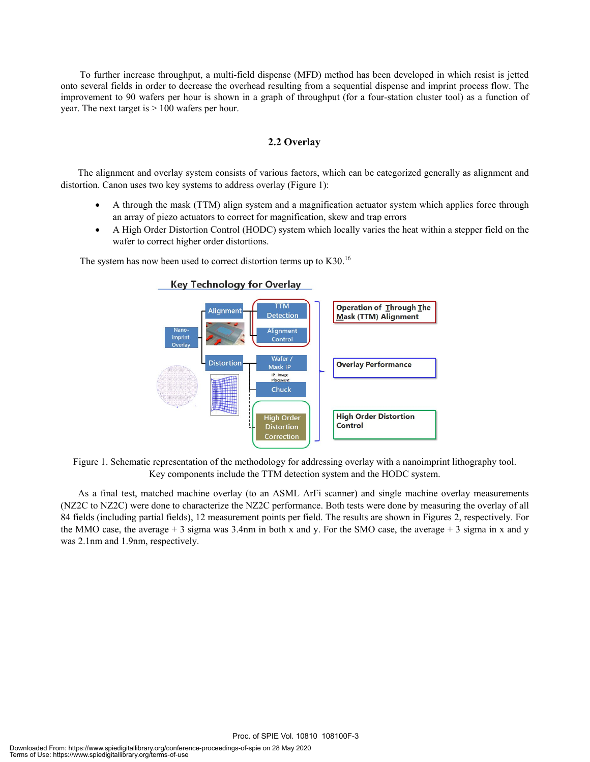To further increase throughput, a multi-field dispense (MFD) method has been developed in which resist is jetted onto several fields in order to decrease the overhead resulting from a sequential dispense and imprint process flow. The improvement to 90 wafers per hour is shown in a graph of throughput (for a four-station cluster tool) as a function of year. The next target is > 100 wafers per hour.

# **2.2 Overlay**

The alignment and overlay system consists of various factors, which can be categorized generally as alignment and distortion. Canon uses two key systems to address overlay (Figure 1):

- A through the mask (TTM) align system and a magnification actuator system which applies force through an array of piezo actuators to correct for magnification, skew and trap errors
- A High Order Distortion Control (HODC) system which locally varies the heat within a stepper field on the wafer to correct higher order distortions.

The system has now been used to correct distortion terms up to K30.<sup>16</sup>



## Key Technology for Overlay

Figure 1. Schematic representation of the methodology for addressing overlay with a nanoimprint lithography tool. Key components include the TTM detection system and the HODC system.

As a final test, matched machine overlay (to an ASML ArFi scanner) and single machine overlay measurements (NZ2C to NZ2C) were done to characterize the NZ2C performance. Both tests were done by measuring the overlay of all 84 fields (including partial fields), 12 measurement points per field. The results are shown in Figures 2, respectively. For the MMO case, the average  $+3$  sigma was 3.4nm in both x and y. For the SMO case, the average  $+3$  sigma in x and y was 2.1nm and 1.9nm, respectively.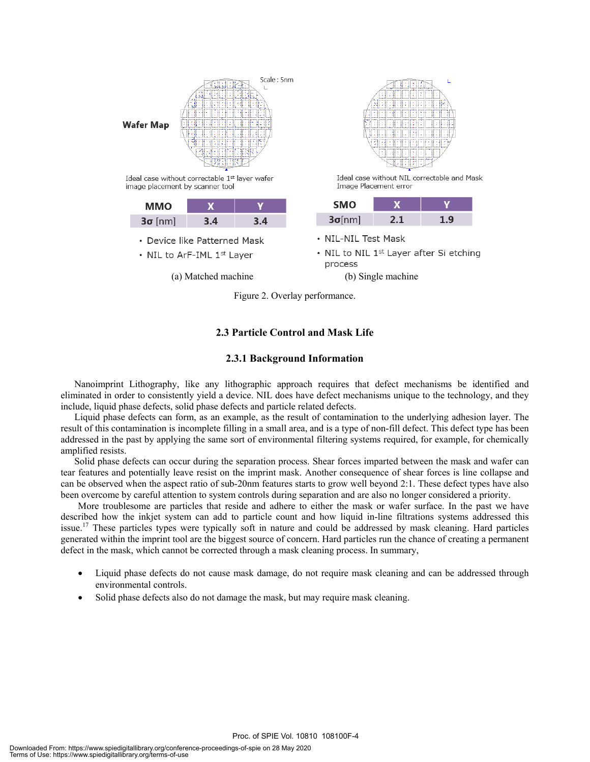

Ideal case without correctable 1st layer wafer image placement by scanner tool Case without correctable 1<sup>st</sup> layer wafer<br>
placement by scanner tool image Placement error<br>
MMO X Y SMO X

| ммо            |     |    |
|----------------|-----|----|
| $3\sigma$ [nm] | 3.4 | 34 |

- Device like Patterned Mask
- NIL to ArF-IML 1st Layer

(a) Matched machine (b) Single machine



Ideal case without NIL correctable and Mask Image Placement error

| <b>SMO</b>     |  |
|----------------|--|
| $3\sigma$ [nm] |  |

- NIL-NIL Test Mask
- NIL to NIL  $1<sup>st</sup>$  Layer after Si etching process

Figure 2. Overlay performance.

# **2.3 Particle Control and Mask Life**

## **2.3.1 Background Information**

Nanoimprint Lithography, like any lithographic approach requires that defect mechanisms be identified and eliminated in order to consistently yield a device. NIL does have defect mechanisms unique to the technology, and they include, liquid phase defects, solid phase defects and particle related defects.

Liquid phase defects can form, as an example, as the result of contamination to the underlying adhesion layer. The result of this contamination is incomplete filling in a small area, and is a type of non-fill defect. This defect type has been addressed in the past by applying the same sort of environmental filtering systems required, for example, for chemically amplified resists.

Solid phase defects can occur during the separation process. Shear forces imparted between the mask and wafer can tear features and potentially leave resist on the imprint mask. Another consequence of shear forces is line collapse and can be observed when the aspect ratio of sub-20nm features starts to grow well beyond 2:1. These defect types have also been overcome by careful attention to system controls during separation and are also no longer considered a priority.

More troublesome are particles that reside and adhere to either the mask or wafer surface. In the past we have described how the inkjet system can add to particle count and how liquid in-line filtrations systems addressed this issue.<sup>17</sup> These particles types were typically soft in nature and could be addressed by mask cleaning. Hard particles generated within the imprint tool are the biggest source of concern. Hard particles run the chance of creating a permanent defect in the mask, which cannot be corrected through a mask cleaning process. In summary,

• Liquid phase defects do not cause mask damage, do not require mask cleaning and can be addressed through environmental controls.

Proc. of SPIE Vol. 10810 108100F-4

Solid phase defects also do not damage the mask, but may require mask cleaning.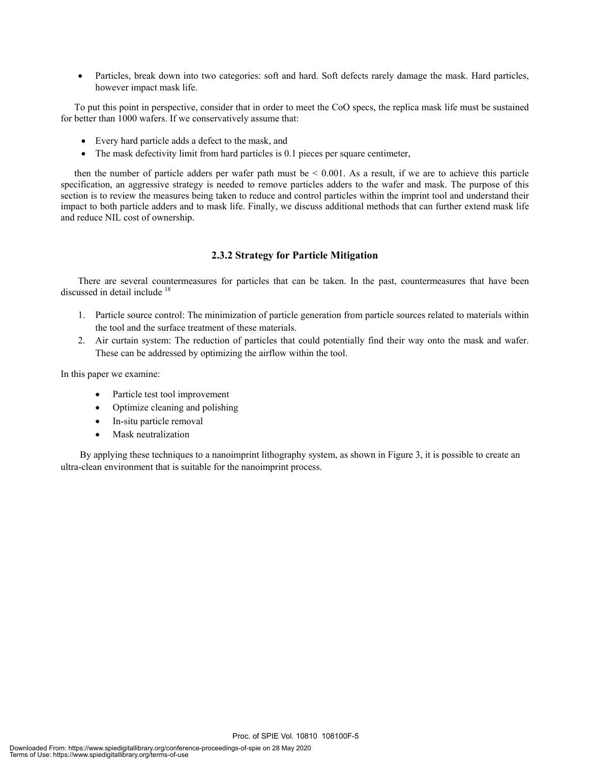• Particles, break down into two categories: soft and hard. Soft defects rarely damage the mask. Hard particles, however impact mask life.

To put this point in perspective, consider that in order to meet the CoO specs, the replica mask life must be sustained for better than 1000 wafers. If we conservatively assume that:

- Every hard particle adds a defect to the mask, and
- The mask defectivity limit from hard particles is 0.1 pieces per square centimeter,

then the number of particle adders per wafer path must be  $< 0.001$ . As a result, if we are to achieve this particle specification, an aggressive strategy is needed to remove particles adders to the wafer and mask. The purpose of this section is to review the measures being taken to reduce and control particles within the imprint tool and understand their impact to both particle adders and to mask life. Finally, we discuss additional methods that can further extend mask life and reduce NIL cost of ownership.

## **2.3.2 Strategy for Particle Mitigation**

There are several countermeasures for particles that can be taken. In the past, countermeasures that have been discussed in detail include <sup>18</sup>

- 1. Particle source control: The minimization of particle generation from particle sources related to materials within the tool and the surface treatment of these materials.
- 2. Air curtain system: The reduction of particles that could potentially find their way onto the mask and wafer. These can be addressed by optimizing the airflow within the tool.

In this paper we examine:

- Particle test tool improvement
- Optimize cleaning and polishing
- In-situ particle removal
- Mask neutralization

By applying these techniques to a nanoimprint lithography system, as shown in Figure 3, it is possible to create an ultra-clean environment that is suitable for the nanoimprint process.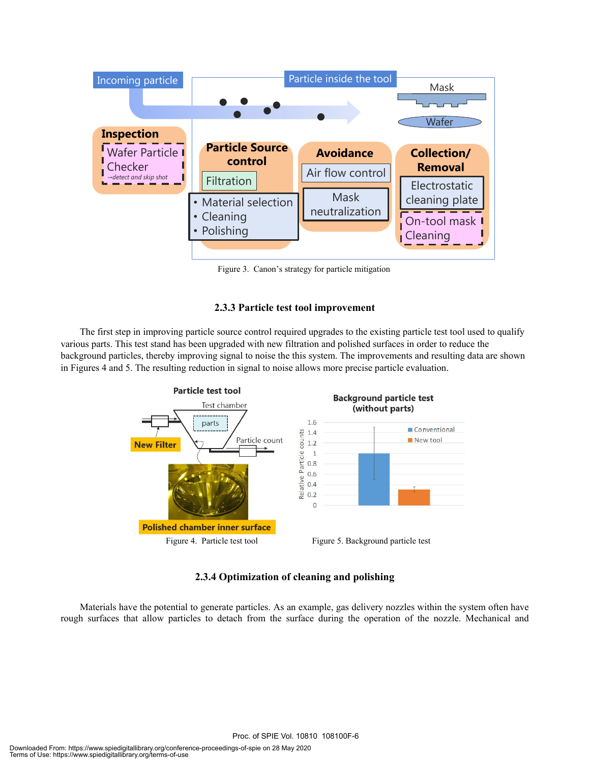

Figure 3. Canon's strategy for particle mitigation

### **2.3.3 Particle test tool improvement**

The first step in improving particle source control required upgrades to the existing particle test tool used to qualify various parts. This test stand has been upgraded with new filtration and polished surfaces in order to reduce the background particles, thereby improving signal to noise the this system. The improvements and resulting data are shown in Figures 4 and 5. The resulting reduction in signal to noise allows more precise particle evaluation.



### **2.3.4 Optimization of cleaning and polishing**

Materials have the potential to generate particles. As an example, gas delivery nozzles within the system often have rough surfaces that allow particles to detach from the surface during the operation of the nozzle. Mechanical and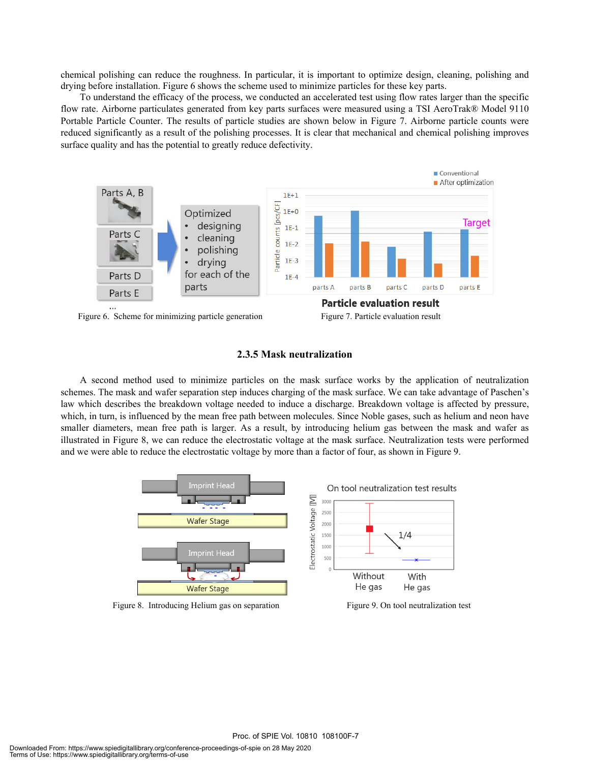chemical polishing can reduce the roughness. In particular, it is important to optimize design, cleaning, polishing and drying before installation. Figure 6 shows the scheme used to minimize particles for these key parts.

To understand the efficacy of the process, we conducted an accelerated test using flow rates larger than the specific flow rate. Airborne particulates generated from key parts surfaces were measured using a TSI AeroTrak® Model 9110 Portable Particle Counter. The results of particle studies are shown below in Figure 7. Airborne particle counts were reduced significantly as a result of the polishing processes. It is clear that mechanical and chemical polishing improves surface quality and has the potential to greatly reduce defectivity.



Figure 6. Scheme for minimizing particle generation Figure 7. Particle evaluation result

### **2.3.5 Mask neutralization**

A second method used to minimize particles on the mask surface works by the application of neutralization schemes. The mask and wafer separation step induces charging of the mask surface. We can take advantage of Paschen's law which describes the breakdown voltage needed to induce a discharge. Breakdown voltage is affected by pressure, which, in turn, is influenced by the mean free path between molecules. Since Noble gases, such as helium and neon have smaller diameters, mean free path is larger. As a result, by introducing helium gas between the mask and wafer as illustrated in Figure 8, we can reduce the electrostatic voltage at the mask surface. Neutralization tests were performed and we were able to reduce the electrostatic voltage by more than a factor of four, as shown in Figure 9.



Figure 8. Introducing Helium gas on separation Figure 9. On tool neutralization test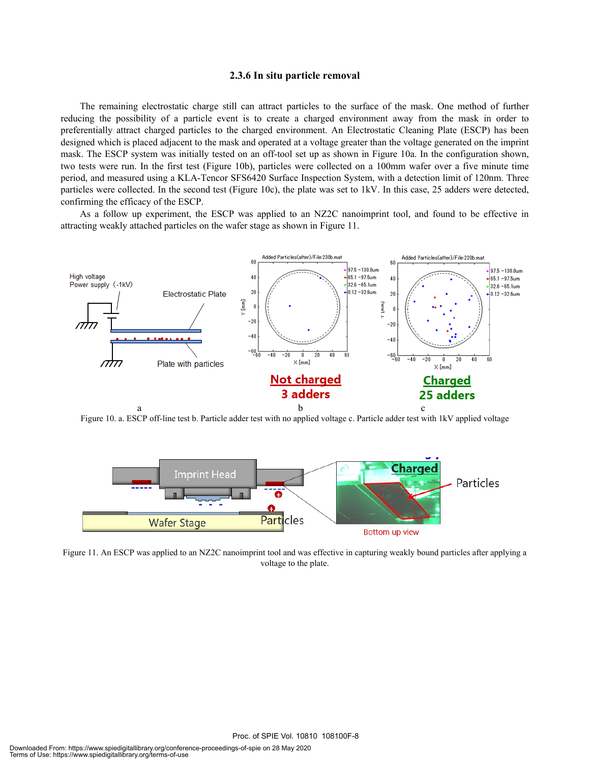#### **2.3.6 In situ particle removal**

The remaining electrostatic charge still can attract particles to the surface of the mask. One method of further reducing the possibility of a particle event is to create a charged environment away from the mask in order to preferentially attract charged particles to the charged environment. An Electrostatic Cleaning Plate (ESCP) has been designed which is placed adjacent to the mask and operated at a voltage greater than the voltage generated on the imprint mask. The ESCP system was initially tested on an off-tool set up as shown in Figure 10a. In the configuration shown, two tests were run. In the first test (Figure 10b), particles were collected on a 100mm wafer over a five minute time period, and measured using a KLA-Tencor SFS6420 Surface Inspection System, with a detection limit of 120nm. Three particles were collected. In the second test (Figure 10c), the plate was set to 1kV. In this case, 25 adders were detected, confirming the efficacy of the ESCP.

As a follow up experiment, the ESCP was applied to an NZ2C nanoimprint tool, and found to be effective in attracting weakly attached particles on the wafer stage as shown in Figure 11.



Figure 10. a. ESCP off-line test b. Particle adder test with no applied voltage c. Particle adder test with 1kV applied voltage



Figure 11. An ESCP was applied to an NZ2C nanoimprint tool and was effective in capturing weakly bound particles after applying a voltage to the plate.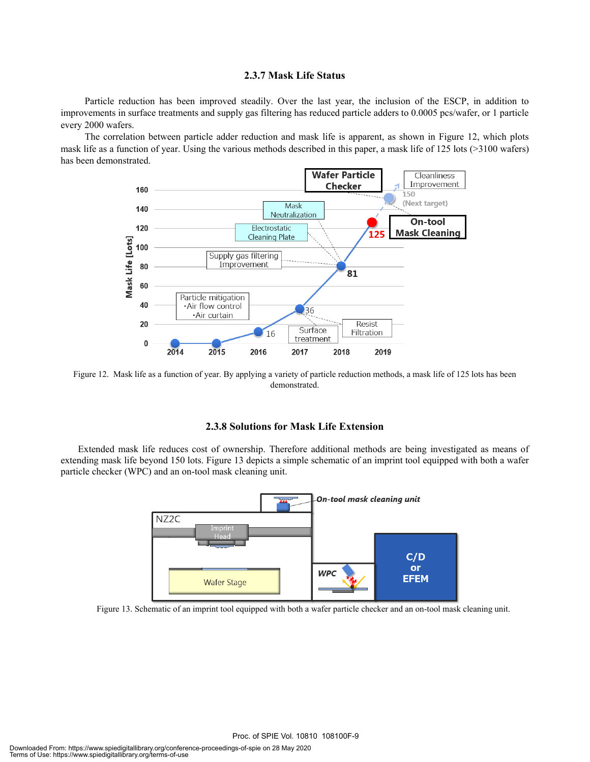#### **2.3.7 Mask Life Status**

Particle reduction has been improved steadily. Over the last year, the inclusion of the ESCP, in addition to improvements in surface treatments and supply gas filtering has reduced particle adders to 0.0005 pcs/wafer, or 1 particle every 2000 wafers.

The correlation between particle adder reduction and mask life is apparent, as shown in Figure 12, which plots mask life as a function of year. Using the various methods described in this paper, a mask life of 125 lots (>3100 wafers) has been demonstrated.



Figure 12. Mask life as a function of year. By applying a variety of particle reduction methods, a mask life of 125 lots has been demonstrated.

#### **2.3.8 Solutions for Mask Life Extension**

Extended mask life reduces cost of ownership. Therefore additional methods are being investigated as means of extending mask life beyond 150 lots. Figure 13 depicts a simple schematic of an imprint tool equipped with both a wafer particle checker (WPC) and an on-tool mask cleaning unit.



Figure 13. Schematic of an imprint tool equipped with both a wafer particle checker and an on-tool mask cleaning unit.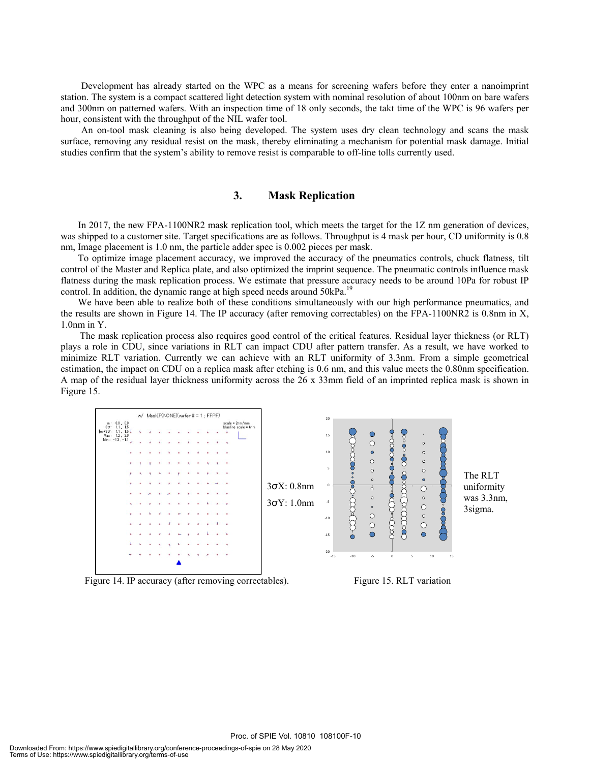Development has already started on the WPC as a means for screening wafers before they enter a nanoimprint station. The system is a compact scattered light detection system with nominal resolution of about 100nm on bare wafers and 300nm on patterned wafers. With an inspection time of 18 only seconds, the takt time of the WPC is 96 wafers per hour, consistent with the throughput of the NIL wafer tool.

An on-tool mask cleaning is also being developed. The system uses dry clean technology and scans the mask surface, removing any residual resist on the mask, thereby eliminating a mechanism for potential mask damage. Initial studies confirm that the system's ability to remove resist is comparable to off-line tolls currently used.

### **3. Mask Replication**

 In 2017, the new FPA-1100NR2 mask replication tool, which meets the target for the 1Z nm generation of devices, was shipped to a customer site. Target specifications are as follows. Throughput is 4 mask per hour, CD uniformity is 0.8 nm, Image placement is 1.0 nm, the particle adder spec is 0.002 pieces per mask.

To optimize image placement accuracy, we improved the accuracy of the pneumatics controls, chuck flatness, tilt control of the Master and Replica plate, and also optimized the imprint sequence. The pneumatic controls influence mask flatness during the mask replication process. We estimate that pressure accuracy needs to be around 10Pa for robust IP control. In addition, the dynamic range at high speed needs around 50kPa.<sup>19</sup>

We have been able to realize both of these conditions simultaneously with our high performance pneumatics, and the results are shown in Figure 14. The IP accuracy (after removing correctables) on the FPA-1100NR2 is 0.8nm in X, 1.0nm in Y.

The mask replication process also requires good control of the critical features. Residual layer thickness (or RLT) plays a role in CDU, since variations in RLT can impact CDU after pattern transfer. As a result, we have worked to minimize RLT variation. Currently we can achieve with an RLT uniformity of 3.3nm. From a simple geometrical estimation, the impact on CDU on a replica mask after etching is 0.6 nm, and this value meets the 0.80nm specification. A map of the residual layer thickness uniformity across the 26 x 33mm field of an imprinted replica mask is shown in Figure 15.



Figure 14. IP accuracy (after removing correctables). Figure 15. RLT variation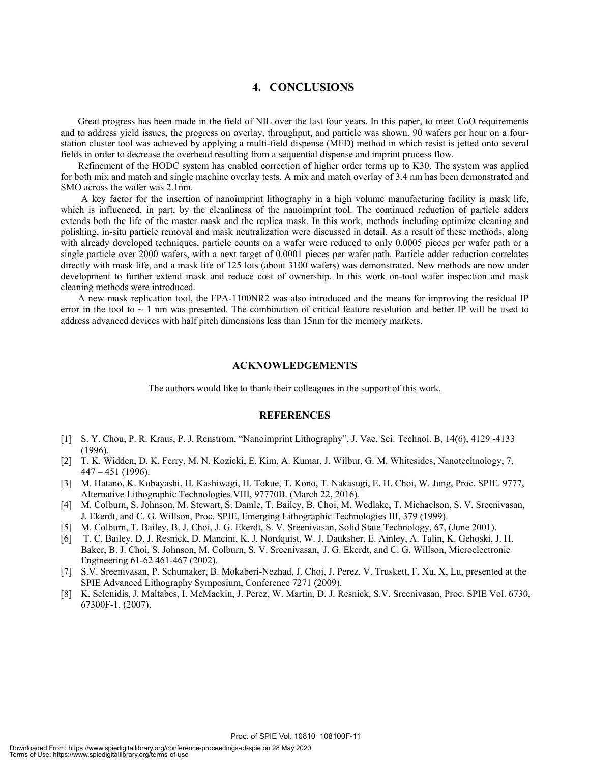# **4. CONCLUSIONS**

 Great progress has been made in the field of NIL over the last four years. In this paper, to meet CoO requirements and to address yield issues, the progress on overlay, throughput, and particle was shown. 90 wafers per hour on a fourstation cluster tool was achieved by applying a multi-field dispense (MFD) method in which resist is jetted onto several fields in order to decrease the overhead resulting from a sequential dispense and imprint process flow.

 Refinement of the HODC system has enabled correction of higher order terms up to K30. The system was applied for both mix and match and single machine overlay tests. A mix and match overlay of 3.4 nm has been demonstrated and SMO across the wafer was 2.1nm.

A key factor for the insertion of nanoimprint lithography in a high volume manufacturing facility is mask life, which is influenced, in part, by the cleanliness of the nanoimprint tool. The continued reduction of particle adders extends both the life of the master mask and the replica mask. In this work, methods including optimize cleaning and polishing, in-situ particle removal and mask neutralization were discussed in detail. As a result of these methods, along with already developed techniques, particle counts on a wafer were reduced to only 0.0005 pieces per wafer path or a single particle over 2000 wafers, with a next target of 0.0001 pieces per wafer path. Particle adder reduction correlates directly with mask life, and a mask life of 125 lots (about 3100 wafers) was demonstrated. New methods are now under development to further extend mask and reduce cost of ownership. In this work on-tool wafer inspection and mask cleaning methods were introduced.

 A new mask replication tool, the FPA-1100NR2 was also introduced and the means for improving the residual IP error in the tool to  $\sim 1$  nm was presented. The combination of critical feature resolution and better IP will be used to address advanced devices with half pitch dimensions less than 15nm for the memory markets.

#### **ACKNOWLEDGEMENTS**

The authors would like to thank their colleagues in the support of this work.

#### **REFERENCES**

- [1] S. Y. Chou, P. R. Kraus, P. J. Renstrom, "Nanoimprint Lithography", J. Vac. Sci. Technol. B, 14(6), 4129 -4133 (1996).
- [2] T. K. Widden, D. K. Ferry, M. N. Kozicki, E. Kim, A. Kumar, J. Wilbur, G. M. Whitesides, Nanotechnology, 7, 447 – 451 (1996).
- [3] M. Hatano, K. Kobayashi, H. Kashiwagi, H. Tokue, T. Kono, T. Nakasugi, E. H. Choi, W. Jung, Proc. SPIE. 9777, Alternative Lithographic Technologies VIII, 97770B. (March 22, 2016).
- [4] M. Colburn, S. Johnson, M. Stewart, S. Damle, T. Bailey, B. Choi, M. Wedlake, T. Michaelson, S. V. Sreenivasan, J. Ekerdt, and C. G. Willson, Proc. SPIE, Emerging Lithographic Technologies III, 379 (1999).
- [5] M. Colburn, T. Bailey, B. J. Choi, J. G. Ekerdt, S. V. Sreenivasan, Solid State Technology, 67, (June 2001).
- [6] T. C. Bailey, D. J. Resnick, D. Mancini, K. J. Nordquist, W. J. Dauksher, E. Ainley, A. Talin, K. Gehoski, J. H. Baker, B. J. Choi, S. Johnson, M. Colburn, S. V. Sreenivasan, J. G. Ekerdt, and C. G. Willson, Microelectronic Engineering 61-62 461-467 (2002).
- [7] S.V. Sreenivasan, P. Schumaker, B. Mokaberi-Nezhad, J. Choi, J. Perez, V. Truskett, F. Xu, X, Lu, presented at the SPIE Advanced Lithography Symposium, Conference 7271 (2009).
- [8] K. Selenidis, J. Maltabes, I. McMackin, J. Perez, W. Martin, D. J. Resnick, S.V. Sreenivasan, Proc. SPIE Vol. 6730, 67300F-1, (2007).